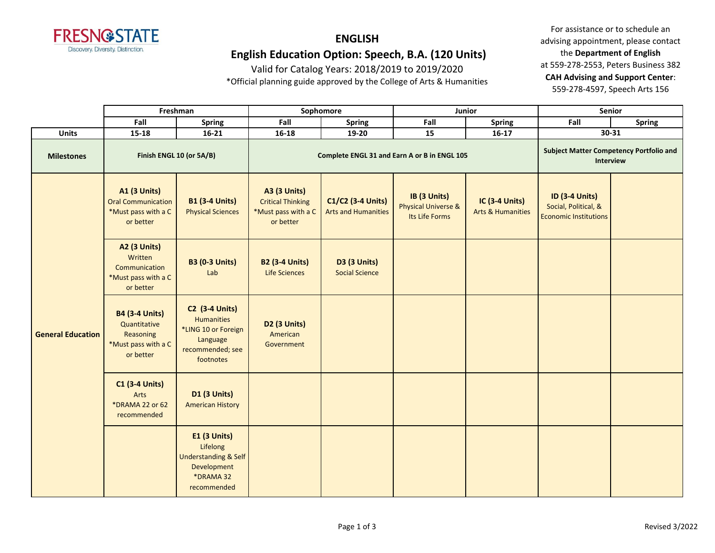

## **ENGLISH English Education Option: Speech, B.A. (120 Units)**

Valid for Catalog Years: 2018/2019 to 2019/2020

\*Official planning guide approved by the College of Arts & Humanities

|                          |                                                                                        | Freshman                                                                                                       | Sophomore                                                                           |                                                 | Junior                                                           |                                                       | Senior                                                                        |               |
|--------------------------|----------------------------------------------------------------------------------------|----------------------------------------------------------------------------------------------------------------|-------------------------------------------------------------------------------------|-------------------------------------------------|------------------------------------------------------------------|-------------------------------------------------------|-------------------------------------------------------------------------------|---------------|
|                          | Fall                                                                                   | <b>Spring</b>                                                                                                  | Fall                                                                                | <b>Spring</b>                                   | Fall                                                             | <b>Spring</b>                                         | Fall                                                                          | <b>Spring</b> |
| <b>Units</b>             | $15 - 18$                                                                              | $16 - 21$                                                                                                      | $16 - 18$                                                                           | 19-20                                           | 15                                                               | $16-17$                                               |                                                                               | $30-31$       |
| <b>Milestones</b>        | Finish ENGL 10 (or 5A/B)                                                               |                                                                                                                |                                                                                     | Complete ENGL 31 and Earn A or B in ENGL 105    | <b>Subject Matter Competency Portfolio and</b><br>Interview      |                                                       |                                                                               |               |
| <b>General Education</b> | <b>A1 (3 Units)</b><br><b>Oral Communication</b><br>*Must pass with a C<br>or better   | <b>B1 (3-4 Units)</b><br><b>Physical Sciences</b>                                                              | <b>A3 (3 Units)</b><br><b>Critical Thinking</b><br>*Must pass with a C<br>or better | C1/C2 (3-4 Units)<br><b>Arts and Humanities</b> | IB (3 Units)<br><b>Physical Universe &amp;</b><br>Its Life Forms | <b>IC (3-4 Units)</b><br><b>Arts &amp; Humanities</b> | <b>ID (3-4 Units)</b><br>Social, Political, &<br><b>Economic Institutions</b> |               |
|                          | <b>A2 (3 Units)</b><br>Written<br>Communication<br>*Must pass with a C<br>or better    | <b>B3 (0-3 Units)</b><br>Lab                                                                                   | <b>B2 (3-4 Units)</b><br>Life Sciences                                              | <b>D3 (3 Units)</b><br><b>Social Science</b>    |                                                                  |                                                       |                                                                               |               |
|                          | <b>B4 (3-4 Units)</b><br>Quantitative<br>Reasoning<br>*Must pass with a C<br>or better | <b>C2 (3-4 Units)</b><br><b>Humanities</b><br>*LING 10 or Foreign<br>Language<br>recommended; see<br>footnotes | D2 (3 Units)<br>American<br>Government                                              |                                                 |                                                                  |                                                       |                                                                               |               |
|                          | <b>C1 (3-4 Units)</b><br>Arts<br>*DRAMA 22 or 62<br>recommended                        | <b>D1 (3 Units)</b><br><b>American History</b>                                                                 |                                                                                     |                                                 |                                                                  |                                                       |                                                                               |               |
|                          |                                                                                        | <b>E1 (3 Units)</b><br>Lifelong<br><b>Understanding &amp; Self</b><br>Development<br>*DRAMA 32<br>recommended  |                                                                                     |                                                 |                                                                  |                                                       |                                                                               |               |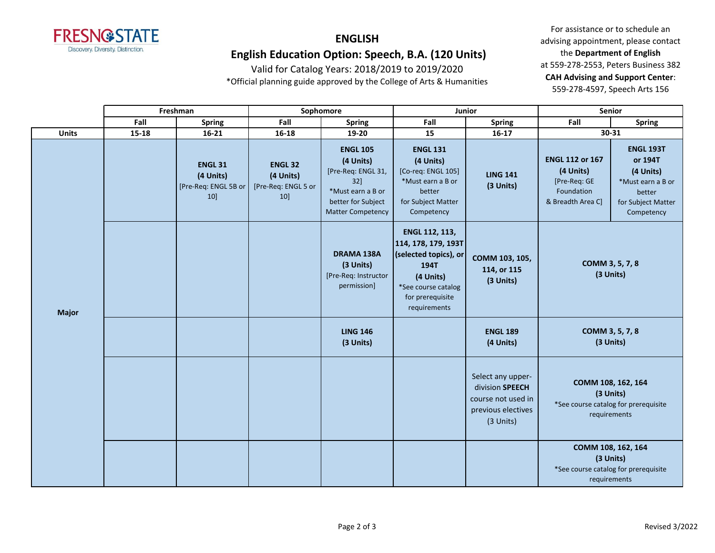

## **ENGLISH English Education Option: Speech, B.A. (120 Units)**

Valid for Catalog Years: 2018/2019 to 2019/2020

\*Official planning guide approved by the College of Arts & Humanities

|              |       | Freshman                                                   |                                                              | Sophomore                                                                                                                           | Junior                                                                                                                                         |                                                                                               | Senior                                                                                  |                                                                                                             |
|--------------|-------|------------------------------------------------------------|--------------------------------------------------------------|-------------------------------------------------------------------------------------------------------------------------------------|------------------------------------------------------------------------------------------------------------------------------------------------|-----------------------------------------------------------------------------------------------|-----------------------------------------------------------------------------------------|-------------------------------------------------------------------------------------------------------------|
|              | Fall  | <b>Spring</b>                                              | Fall                                                         | <b>Spring</b>                                                                                                                       | Fall                                                                                                                                           | <b>Spring</b>                                                                                 | Fall                                                                                    | <b>Spring</b>                                                                                               |
| <b>Units</b> | 15-18 | $16 - 21$                                                  | 16-18                                                        | 19-20                                                                                                                               | 15                                                                                                                                             | $16 - 17$                                                                                     |                                                                                         | 30-31                                                                                                       |
|              |       | <b>ENGL 31</b><br>(4 Units)<br>[Pre-Req: ENGL 5B or<br>10] | <b>ENGL 32</b><br>(4 Units)<br>[Pre-Req: ENGL 5 or<br>$10$ ] | <b>ENGL 105</b><br>(4 Units)<br>[Pre-Req: ENGL 31,<br>$32$ ]<br>*Must earn a B or<br>better for Subject<br><b>Matter Competency</b> | <b>ENGL 131</b><br>(4 Units)<br>[Co-req: ENGL 105]<br>*Must earn a B or<br>better<br>for Subject Matter<br>Competency                          | <b>LING 141</b><br>(3 Units)                                                                  | <b>ENGL 112 or 167</b><br>(4 Units)<br>[Pre-Req: GE<br>Foundation<br>& Breadth Area C]  | <b>ENGL 193T</b><br>or 194T<br>(4 Units)<br>*Must earn a B or<br>better<br>for Subject Matter<br>Competency |
| <b>Major</b> |       |                                                            |                                                              | <b>DRAMA 138A</b><br>(3 Units)<br>[Pre-Req: Instructor<br>permission]                                                               | ENGL 112, 113,<br>114, 178, 179, 193T<br>(selected topics), or<br>194T<br>(4 Units)<br>*See course catalog<br>for prerequisite<br>requirements | COMM 103, 105,<br>114, or 115<br>(3 Units)                                                    | COMM 3, 5, 7, 8<br>(3 Units)                                                            |                                                                                                             |
|              |       |                                                            |                                                              | <b>LING 146</b><br>(3 Units)                                                                                                        |                                                                                                                                                | <b>ENGL 189</b><br>(4 Units)                                                                  | COMM 3, 5, 7, 8<br>(3 Units)                                                            |                                                                                                             |
|              |       |                                                            |                                                              |                                                                                                                                     |                                                                                                                                                | Select any upper-<br>division SPEECH<br>course not used in<br>previous electives<br>(3 Units) | COMM 108, 162, 164<br>*See course catalog for prerequisite<br>requirements              | (3 Units)                                                                                                   |
|              |       |                                                            |                                                              |                                                                                                                                     |                                                                                                                                                |                                                                                               | COMM 108, 162, 164<br>(3 Units)<br>*See course catalog for prerequisite<br>requirements |                                                                                                             |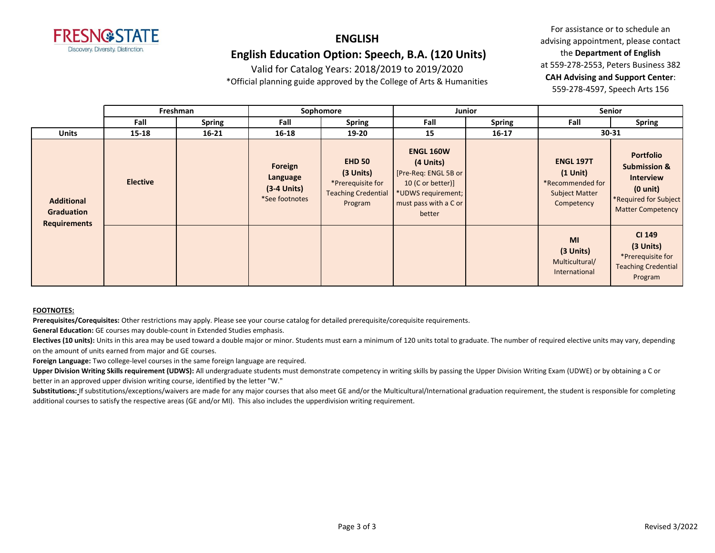

### **ENGLISH English Education Option: Speech, B.A. (120 Units)**

Valid for Catalog Years: 2018/2019 to 2019/2020

\*Official planning guide approved by the College of Arts & Humanities

For assistance or to schedule an advising appointment, please contact the **Department of English** at 559-278-2553, Peters Business 382 **CAH Advising and Support Center**: 559-278-4597, Speech Arts 156

|                                                               | Freshman<br>Sophomore<br><b>Junior</b> |               |                                                        |                                                                                          | Senior                                                                                                                              |               |                                                                                              |                                                                                                                                            |
|---------------------------------------------------------------|----------------------------------------|---------------|--------------------------------------------------------|------------------------------------------------------------------------------------------|-------------------------------------------------------------------------------------------------------------------------------------|---------------|----------------------------------------------------------------------------------------------|--------------------------------------------------------------------------------------------------------------------------------------------|
|                                                               | Fall                                   | <b>Spring</b> | Fall                                                   | <b>Spring</b>                                                                            | Fall                                                                                                                                | <b>Spring</b> | Fall                                                                                         | <b>Spring</b>                                                                                                                              |
| <b>Units</b>                                                  | $15 - 18$                              | $16 - 21$     | $16 - 18$                                              | $19 - 20$                                                                                | 15                                                                                                                                  | $16 - 17$     |                                                                                              | 30-31                                                                                                                                      |
| <b>Additional</b><br><b>Graduation</b><br><b>Requirements</b> | <b>Elective</b>                        |               | Foreign<br>Language<br>$(3-4$ Units)<br>*See footnotes | <b>EHD 50</b><br>(3 Units)<br>*Prerequisite for<br><b>Teaching Credential</b><br>Program | <b>ENGL 160W</b><br>(4 Units)<br>[Pre-Req: ENGL 5B or<br>10 (C or better)]<br>*UDWS requirement;<br>must pass with a C or<br>better |               | <b>ENGL 197T</b><br>$(1$ Unit $)$<br>*Recommended for<br><b>Subject Matter</b><br>Competency | <b>Portfolio</b><br><b>Submission &amp;</b><br><b>Interview</b><br>$(0 \text{ unit})$<br>*Required for Subject<br><b>Matter Competency</b> |
|                                                               |                                        |               |                                                        |                                                                                          |                                                                                                                                     |               | <b>MI</b><br>(3 Units)<br>Multicultural/<br>International                                    | CI 149<br>(3 Units)<br>*Prerequisite for<br><b>Teaching Credential</b><br>Program                                                          |

#### **FOOTNOTES:**

**Prerequisites/Corequisites:** Other restrictions may apply. Please see your course catalog for detailed prerequisite/corequisite requirements.

**General Education:** GE courses may double-count in Extended Studies emphasis.

Electives (10 units): Units in this area may be used toward a double major or minor. Students must earn a minimum of 120 units total to graduate. The number of required elective units may vary, depending on the amount of units earned from major and GE courses.

**Foreign Language:** Two college-level courses in the same foreign language are required.

**Upper Division Writing Skills requirement (UDWS):** All undergraduate students must demonstrate competency in writing skills by passing the Upper Division Writing Exam (UDWE) or by obtaining a C or better in an approved upper division writing course, identified by the letter "W."

Substitutions: If substitutions/exceptions/waivers are made for any major courses that also meet GE and/or the Multicultural/International graduation requirement, the student is responsible for completing additional courses to satisfy the respective areas (GE and/or MI). This also includes the upperdivision writing requirement.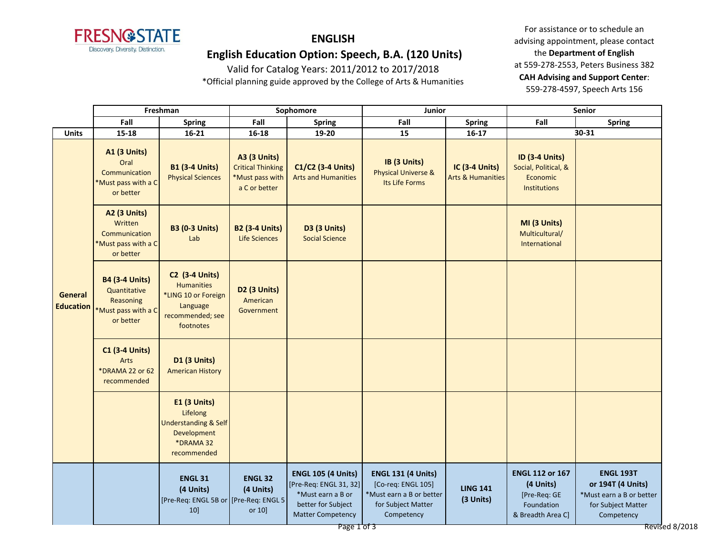

## **ENGLISH**

## **English Education Option: Speech, B.A. (120 Units)**

Valid for Catalog Years: 2011/2012 to 2017/2018 \*Official planning guide approved by the College of Arts & Humanities

|                                    | Freshman                                                                               |                                                                                                                | Sophomore                                                                           |                                                                                                                                           | Junior                                                                                                          |                                                | Senior                                                                                 |                                                                                                                         |  |
|------------------------------------|----------------------------------------------------------------------------------------|----------------------------------------------------------------------------------------------------------------|-------------------------------------------------------------------------------------|-------------------------------------------------------------------------------------------------------------------------------------------|-----------------------------------------------------------------------------------------------------------------|------------------------------------------------|----------------------------------------------------------------------------------------|-------------------------------------------------------------------------------------------------------------------------|--|
|                                    | Fall                                                                                   | <b>Spring</b>                                                                                                  | Fall                                                                                | <b>Spring</b>                                                                                                                             | Fall                                                                                                            | <b>Spring</b>                                  | Fall                                                                                   | <b>Spring</b>                                                                                                           |  |
| <b>Units</b>                       | $15 - 18$                                                                              | $16 - 21$                                                                                                      | $16 - 18$                                                                           | 19-20                                                                                                                                     | 15                                                                                                              | $16-17$                                        |                                                                                        | 30-31                                                                                                                   |  |
| <b>General</b><br><b>Education</b> | <b>A1 (3 Units)</b><br>Oral<br>Communication<br>*Must pass with a C<br>or better       | <b>B1 (3-4 Units)</b><br><b>Physical Sciences</b>                                                              | <b>A3 (3 Units)</b><br><b>Critical Thinking</b><br>*Must pass with<br>a C or better | C1/C2 (3-4 Units)<br><b>Arts and Humanities</b>                                                                                           | IB (3 Units)<br><b>Physical Universe &amp;</b><br>Its Life Forms                                                | IC (3-4 Units)<br><b>Arts &amp; Humanities</b> | <b>ID (3-4 Units)</b><br>Social, Political, &<br>Economic<br><b>Institutions</b>       |                                                                                                                         |  |
|                                    | <b>A2 (3 Units)</b><br>Written<br>Communication<br>*Must pass with a C<br>or better    | <b>B3 (0-3 Units)</b><br>Lab                                                                                   | <b>B2 (3-4 Units)</b><br>Life Sciences                                              | <b>D3 (3 Units)</b><br><b>Social Science</b>                                                                                              |                                                                                                                 |                                                | MI (3 Units)<br>Multicultural/<br>International                                        |                                                                                                                         |  |
|                                    | <b>B4 (3-4 Units)</b><br>Quantitative<br>Reasoning<br>*Must pass with a C<br>or better | <b>C2 (3-4 Units)</b><br><b>Humanities</b><br>*LING 10 or Foreign<br>Language<br>recommended; see<br>footnotes | D <sub>2</sub> (3 Units)<br>American<br>Government                                  |                                                                                                                                           |                                                                                                                 |                                                |                                                                                        |                                                                                                                         |  |
|                                    | <b>C1 (3-4 Units)</b><br>Arts<br>*DRAMA 22 or 62<br>recommended                        | <b>D1 (3 Units)</b><br><b>American History</b>                                                                 |                                                                                     |                                                                                                                                           |                                                                                                                 |                                                |                                                                                        |                                                                                                                         |  |
|                                    |                                                                                        | E1 (3 Units)<br>Lifelong<br><b>Understanding &amp; Self</b><br>Development<br>*DRAMA 32<br>recommended         |                                                                                     |                                                                                                                                           |                                                                                                                 |                                                |                                                                                        |                                                                                                                         |  |
|                                    |                                                                                        | <b>ENGL 31</b><br>(4 Units)<br>[Pre-Req: ENGL 5B or [Pre-Req: ENGL 5<br>10]                                    | <b>ENGL 32</b><br>(4 Units)<br>or 10]                                               | <b>ENGL 105 (4 Units)</b><br>[Pre-Req: ENGL 31, 32]<br>*Must earn a B or<br>better for Subject<br><b>Matter Competency</b><br>Page 1 of 3 | <b>ENGL 131 (4 Units)</b><br>[Co-req: ENGL 105]<br>*Must earn a B or better<br>for Subject Matter<br>Competency | <b>LING 141</b><br>(3 Units)                   | <b>ENGL 112 or 167</b><br>(4 Units)<br>[Pre-Req: GE<br>Foundation<br>& Breadth Area C] | <b>ENGL 193T</b><br>or 194T (4 Units)<br>*Must earn a B or better<br>for Subject Matter<br>Competency<br>Revised 8/2018 |  |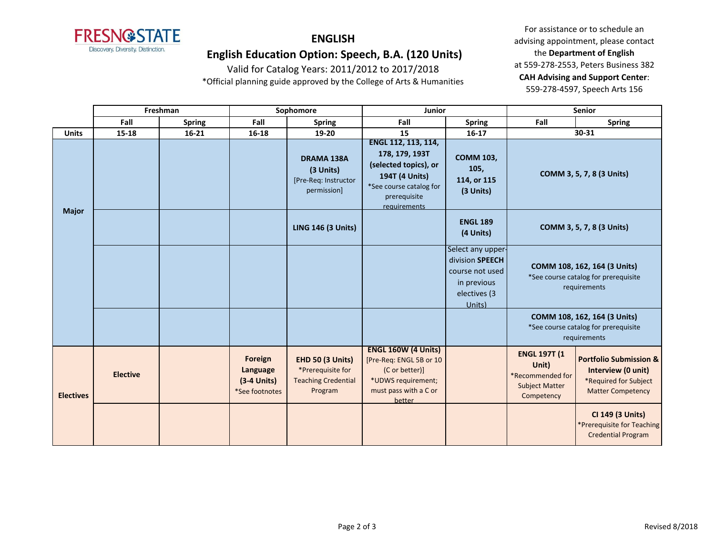

# **ENGLISH**

## **English Education Option: Speech, B.A. (120 Units)**

Valid for Catalog Years: 2011/2012 to 2017/2018 \*Official planning guide approved by the College of Arts & Humanities

|                  | Freshman        |               | Sophomore                                              |                                                                                       | Junior                                                                                                                                             |                                                                                                  | <b>Senior</b>                                                                           |                                                                                                              |
|------------------|-----------------|---------------|--------------------------------------------------------|---------------------------------------------------------------------------------------|----------------------------------------------------------------------------------------------------------------------------------------------------|--------------------------------------------------------------------------------------------------|-----------------------------------------------------------------------------------------|--------------------------------------------------------------------------------------------------------------|
|                  | Fall            | <b>Spring</b> | Fall                                                   | <b>Spring</b>                                                                         | Fall                                                                                                                                               | <b>Spring</b>                                                                                    | Fall                                                                                    | <b>Spring</b>                                                                                                |
| <b>Units</b>     | 15-18           | $16 - 21$     | 16-18                                                  | 19-20                                                                                 | 15                                                                                                                                                 | $16 - 17$                                                                                        |                                                                                         | 30-31                                                                                                        |
| <b>Major</b>     |                 |               |                                                        | <b>DRAMA 138A</b><br>(3 Units)<br>[Pre-Req: Instructor<br>permission]                 | ENGL 112, 113, 114,<br>178, 179, 193T<br>(selected topics), or<br>194T (4 Units)<br>*See course catalog for<br>prerequisite<br><i>requirements</i> | <b>COMM 103,</b><br>105,<br>114, or 115<br>(3 Units)                                             |                                                                                         | COMM 3, 5, 7, 8 (3 Units)                                                                                    |
|                  |                 |               |                                                        | <b>LING 146 (3 Units)</b>                                                             |                                                                                                                                                    | <b>ENGL 189</b><br>(4 Units)                                                                     |                                                                                         | COMM 3, 5, 7, 8 (3 Units)                                                                                    |
|                  |                 |               |                                                        |                                                                                       |                                                                                                                                                    | Select any upper-<br>division SPEECH<br>course not used<br>in previous<br>electives (3<br>Units) |                                                                                         | COMM 108, 162, 164 (3 Units)<br>*See course catalog for prerequisite<br>requirements                         |
|                  |                 |               |                                                        |                                                                                       |                                                                                                                                                    |                                                                                                  |                                                                                         | COMM 108, 162, 164 (3 Units)<br>*See course catalog for prerequisite<br>requirements                         |
| <b>Electives</b> | <b>Elective</b> |               | Foreign<br>Language<br>$(3-4$ Units)<br>*See footnotes | <b>EHD 50 (3 Units)</b><br>*Prerequisite for<br><b>Teaching Credential</b><br>Program | <b>ENGL 160W (4 Units)</b><br>[Pre-Req: ENGL 5B or 10<br>(C or better)]<br>*UDWS requirement;<br>must pass with a C or<br>better                   |                                                                                                  | <b>ENGL 197T (1</b><br>Unit)<br>*Recommended for<br><b>Subject Matter</b><br>Competency | <b>Portfolio Submission &amp;</b><br>Interview (0 unit)<br>*Required for Subject<br><b>Matter Competency</b> |
|                  |                 |               |                                                        |                                                                                       |                                                                                                                                                    |                                                                                                  |                                                                                         | CI 149 (3 Units)<br>*Prerequisite for Teaching<br><b>Credential Program</b>                                  |